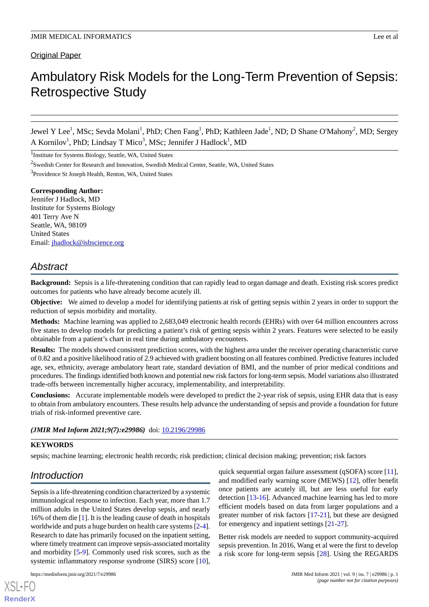Original Paper

# Ambulatory Risk Models for the Long-Term Prevention of Sepsis: Retrospective Study

Jewel Y Lee<sup>1</sup>, MSc; Sevda Molani<sup>1</sup>, PhD; Chen Fang<sup>1</sup>, PhD; Kathleen Jade<sup>1</sup>, ND; D Shane O'Mahony<sup>2</sup>, MD; Sergey A Kornilov<sup>1</sup>, PhD; Lindsay T Mico<sup>3</sup>, MSc; Jennifer J Hadlock<sup>1</sup>, MD

<sup>1</sup>Institute for Systems Biology, Seattle, WA, United States

<sup>2</sup>Swedish Center for Research and Innovation, Swedish Medical Center, Seattle, WA, United States

<sup>3</sup> Providence St Joseph Health, Renton, WA, United States

**Corresponding Author:** Jennifer J Hadlock, MD Institute for Systems Biology 401 Terry Ave N Seattle, WA, 98109 United States Email: [jhadlock@isbscience.org](mailto:jhadlock@isbscience.org)

# *Abstract*

**Background:** Sepsis is a life-threatening condition that can rapidly lead to organ damage and death. Existing risk scores predict outcomes for patients who have already become acutely ill.

**Objective:** We aimed to develop a model for identifying patients at risk of getting sepsis within 2 years in order to support the reduction of sepsis morbidity and mortality.

**Methods:** Machine learning was applied to 2,683,049 electronic health records (EHRs) with over 64 million encounters across five states to develop models for predicting a patient's risk of getting sepsis within 2 years. Features were selected to be easily obtainable from a patient's chart in real time during ambulatory encounters.

**Results:** The models showed consistent prediction scores, with the highest area under the receiver operating characteristic curve of 0.82 and a positive likelihood ratio of 2.9 achieved with gradient boosting on all features combined. Predictive features included age, sex, ethnicity, average ambulatory heart rate, standard deviation of BMI, and the number of prior medical conditions and procedures. The findings identified both known and potential new risk factors for long-term sepsis. Model variations also illustrated trade-offs between incrementally higher accuracy, implementability, and interpretability.

**Conclusions:** Accurate implementable models were developed to predict the 2-year risk of sepsis, using EHR data that is easy to obtain from ambulatory encounters. These results help advance the understanding of sepsis and provide a foundation for future trials of risk-informed preventive care.

#### (JMIR Med Inform 2021;9(7):e29986) doi: [10.2196/29986](http://dx.doi.org/10.2196/29986)

#### **KEYWORDS**

sepsis; machine learning; electronic health records; risk prediction; clinical decision making; prevention; risk factors

# *Introduction*

Sepsis is a life-threatening condition characterized by a systemic immunological response to infection. Each year, more than 1.7 million adults in the United States develop sepsis, and nearly 16% of them die [[1\]](#page-10-0). It is the leading cause of death in hospitals worldwide and puts a huge burden on health care systems [\[2-](#page-10-1)[4\]](#page-10-2). Research to date has primarily focused on the inpatient setting, where timely treatment can improve sepsis-associated mortality and morbidity [[5](#page-10-3)[-9](#page-10-4)]. Commonly used risk scores, such as the systemic inflammatory response syndrome (SIRS) score [[10\]](#page-10-5),

quick sequential organ failure assessment (qSOFA) score [[11\]](#page-10-6), and modified early warning score (MEWS) [[12\]](#page-10-7), offer benefit once patients are acutely ill, but are less useful for early detection [\[13](#page-10-8)[-16](#page-11-0)]. Advanced machine learning has led to more efficient models based on data from larger populations and a greater number of risk factors [[17-](#page-11-1)[21](#page-11-2)], but these are designed for emergency and inpatient settings [[21-](#page-11-2)[27\]](#page-11-3).

Better risk models are needed to support community-acquired sepsis prevention. In 2016, Wang et al were the first to develop a risk score for long-term sepsis [[28\]](#page-11-4). Using the REGARDS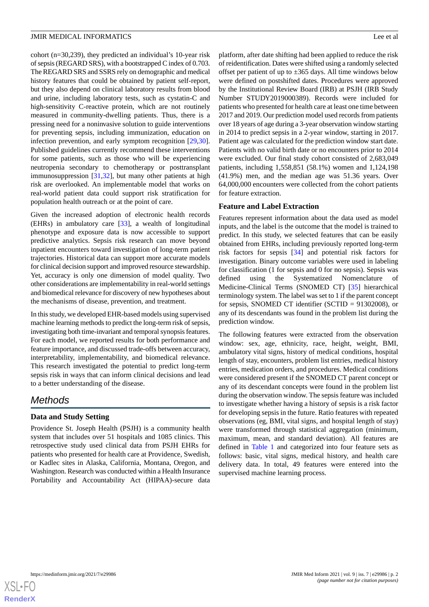cohort (n=30,239), they predicted an individual's 10-year risk of sepsis (REGARD SRS), with a bootstrapped C index of 0.703. The REGARD SRS and SSRS rely on demographic and medical history features that could be obtained by patient self-report, but they also depend on clinical laboratory results from blood and urine, including laboratory tests, such as cystatin-C and high-sensitivity C-reactive protein, which are not routinely measured in community-dwelling patients. Thus, there is a pressing need for a noninvasive solution to guide interventions for preventing sepsis, including immunization, education on infection prevention, and early symptom recognition [\[29](#page-11-5),[30\]](#page-11-6). Published guidelines currently recommend these interventions for some patients, such as those who will be experiencing neutropenia secondary to chemotherapy or posttransplant immunosuppression [\[31](#page-11-7),[32\]](#page-11-8), but many other patients at high risk are overlooked. An implementable model that works on real-world patient data could support risk stratification for population health outreach or at the point of care.

Given the increased adoption of electronic health records (EHRs) in ambulatory care [\[33](#page-11-9)], a wealth of longitudinal phenotype and exposure data is now accessible to support predictive analytics. Sepsis risk research can move beyond inpatient encounters toward investigation of long-term patient trajectories. Historical data can support more accurate models for clinical decision support and improved resource stewardship. Yet, accuracy is only one dimension of model quality. Two other considerations are implementability in real-world settings and biomedical relevance for discovery of new hypotheses about the mechanisms of disease, prevention, and treatment.

In this study, we developed EHR-based models using supervised machine learning methods to predict the long-term risk of sepsis, investigating both time-invariant and temporal synopsis features. For each model, we reported results for both performance and feature importance, and discussed trade-offs between accuracy, interpretability, implementability, and biomedical relevance. This research investigated the potential to predict long-term sepsis risk in ways that can inform clinical decisions and lead to a better understanding of the disease.

# *Methods*

# **Data and Study Setting**

Providence St. Joseph Health (PSJH) is a community health system that includes over 51 hospitals and 1085 clinics. This retrospective study used clinical data from PSJH EHRs for patients who presented for health care at Providence, Swedish, or Kadlec sites in Alaska, California, Montana, Oregon, and Washington. Research was conducted within a Health Insurance Portability and Accountability Act (HIPAA)-secure data platform, after date shifting had been applied to reduce the risk of reidentification. Dates were shifted using a randomly selected offset per patient of up to  $\pm 365$  days. All time windows below were defined on postshifted dates. Procedures were approved by the Institutional Review Board (IRB) at PSJH (IRB Study Number STUDY2019000389). Records were included for patients who presented for health care at least one time between 2017 and 2019. Our prediction model used records from patients over 18 years of age during a 3-year observation window starting in 2014 to predict sepsis in a 2-year window, starting in 2017. Patient age was calculated for the prediction window start date. Patients with no valid birth date or no encounters prior to 2014 were excluded. Our final study cohort consisted of 2,683,049 patients, including 1,558,851 (58.1%) women and 1,124,198 (41.9%) men, and the median age was 51.36 years. Over 64,000,000 encounters were collected from the cohort patients for feature extraction.

# **Feature and Label Extraction**

Features represent information about the data used as model inputs, and the label is the outcome that the model is trained to predict. In this study, we selected features that can be easily obtained from EHRs, including previously reported long-term risk factors for sepsis [[34\]](#page-11-10) and potential risk factors for investigation. Binary outcome variables were used in labeling for classification (1 for sepsis and 0 for no sepsis). Sepsis was defined using the Systematized Nomenclature of Medicine-Clinical Terms (SNOMED CT) [\[35](#page-11-11)] hierarchical terminology system. The label was set to 1 if the parent concept for sepsis, SNOMED CT identifier (SCTID = 91302008), or any of its descendants was found in the problem list during the prediction window.

The following features were extracted from the observation window: sex, age, ethnicity, race, height, weight, BMI, ambulatory vital signs, history of medical conditions, hospital length of stay, encounters, problem list entries, medical history entries, medication orders, and procedures. Medical conditions were considered present if the SNOMED CT parent concept or any of its descendant concepts were found in the problem list during the observation window. The sepsis feature was included to investigate whether having a history of sepsis is a risk factor for developing sepsis in the future. Ratio features with repeated observations (eg, BMI, vital signs, and hospital length of stay) were transformed through statistical aggregation (minimum, maximum, mean, and standard deviation). All features are defined in [Table 1](#page-2-0) and categorized into four feature sets as follows: basic, vital signs, medical history, and health care delivery data. In total, 49 features were entered into the supervised machine learning process.

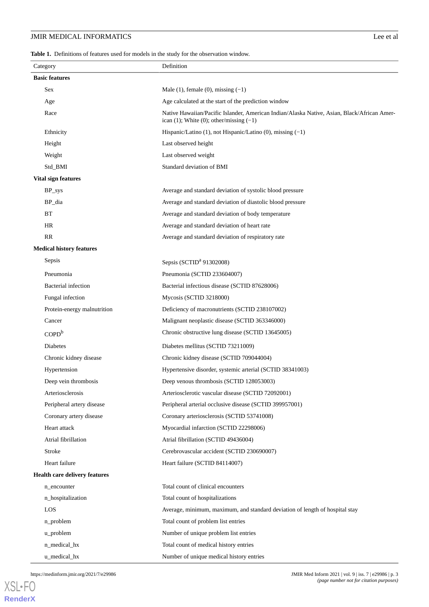<span id="page-2-0"></span>**Table 1.** Definitions of features used for models in the study for the observation window.

|                                      | Category                        | Definition                                                                                                                                     |  |  |  |  |
|--------------------------------------|---------------------------------|------------------------------------------------------------------------------------------------------------------------------------------------|--|--|--|--|
|                                      | <b>Basic features</b>           |                                                                                                                                                |  |  |  |  |
|                                      | Sex                             | Male $(1)$ , female $(0)$ , missing $(-1)$                                                                                                     |  |  |  |  |
|                                      | Age                             | Age calculated at the start of the prediction window                                                                                           |  |  |  |  |
|                                      | Race                            | Native Hawaiian/Pacific Islander, American Indian/Alaska Native, Asian, Black/African Amer-<br>ican $(1)$ ; White $(0)$ ; other/missing $(-1)$ |  |  |  |  |
|                                      | Ethnicity                       | Hispanic/Latino (1), not Hispanic/Latino (0), missing $(-1)$                                                                                   |  |  |  |  |
|                                      | Height                          | Last observed height                                                                                                                           |  |  |  |  |
|                                      | Weight                          | Last observed weight                                                                                                                           |  |  |  |  |
|                                      | Std_BMI                         | Standard deviation of BMI                                                                                                                      |  |  |  |  |
|                                      | Vital sign features             |                                                                                                                                                |  |  |  |  |
|                                      | BP_sys                          | Average and standard deviation of systolic blood pressure                                                                                      |  |  |  |  |
|                                      | BP_dia                          | Average and standard deviation of diastolic blood pressure                                                                                     |  |  |  |  |
|                                      | BT                              | Average and standard deviation of body temperature                                                                                             |  |  |  |  |
|                                      | <b>HR</b>                       | Average and standard deviation of heart rate                                                                                                   |  |  |  |  |
|                                      | <b>RR</b>                       | Average and standard deviation of respiratory rate                                                                                             |  |  |  |  |
|                                      | <b>Medical history features</b> |                                                                                                                                                |  |  |  |  |
|                                      | Sepsis                          | Sepsis (SCTID <sup>a</sup> 91302008)                                                                                                           |  |  |  |  |
|                                      | Pneumonia                       | Pneumonia (SCTID 233604007)                                                                                                                    |  |  |  |  |
|                                      | <b>Bacterial</b> infection      | Bacterial infectious disease (SCTID 87628006)                                                                                                  |  |  |  |  |
|                                      | Fungal infection                | Mycosis (SCTID 3218000)                                                                                                                        |  |  |  |  |
|                                      | Protein-energy malnutrition     | Deficiency of macronutrients (SCTID 238107002)                                                                                                 |  |  |  |  |
|                                      | Cancer                          | Malignant neoplastic disease (SCTID 363346000)                                                                                                 |  |  |  |  |
|                                      | COPD <sup>b</sup>               | Chronic obstructive lung disease (SCTID 13645005)                                                                                              |  |  |  |  |
|                                      | <b>Diabetes</b>                 | Diabetes mellitus (SCTID 73211009)                                                                                                             |  |  |  |  |
|                                      | Chronic kidney disease          | Chronic kidney disease (SCTID 709044004)                                                                                                       |  |  |  |  |
|                                      | Hypertension                    | Hypertensive disorder, systemic arterial (SCTID 38341003)                                                                                      |  |  |  |  |
|                                      | Deep vein thrombosis            | Deep venous thrombosis (SCTID 128053003)                                                                                                       |  |  |  |  |
|                                      | Arteriosclerosis                | Arteriosclerotic vascular disease (SCTID 72092001)                                                                                             |  |  |  |  |
|                                      | Peripheral artery disease       | Peripheral arterial occlusive disease (SCTID 399957001)                                                                                        |  |  |  |  |
|                                      | Coronary artery disease         | Coronary arteriosclerosis (SCTID 53741008)                                                                                                     |  |  |  |  |
|                                      | Heart attack                    | Myocardial infarction (SCTID 22298006)                                                                                                         |  |  |  |  |
|                                      | Atrial fibrillation             | Atrial fibrillation (SCTID 49436004)                                                                                                           |  |  |  |  |
|                                      | Stroke                          | Cerebrovascular accident (SCTID 230690007)                                                                                                     |  |  |  |  |
|                                      | Heart failure                   | Heart failure (SCTID 84114007)                                                                                                                 |  |  |  |  |
| <b>Health care delivery features</b> |                                 |                                                                                                                                                |  |  |  |  |
|                                      | n_encounter                     | Total count of clinical encounters                                                                                                             |  |  |  |  |
|                                      | n_hospitalization               | Total count of hospitalizations                                                                                                                |  |  |  |  |
|                                      | LOS                             | Average, minimum, maximum, and standard deviation of length of hospital stay                                                                   |  |  |  |  |
|                                      | n_problem                       | Total count of problem list entries                                                                                                            |  |  |  |  |
|                                      | u_problem                       | Number of unique problem list entries                                                                                                          |  |  |  |  |
|                                      | n_medical_hx                    | Total count of medical history entries                                                                                                         |  |  |  |  |
|                                      | u_medical_hx                    | Number of unique medical history entries                                                                                                       |  |  |  |  |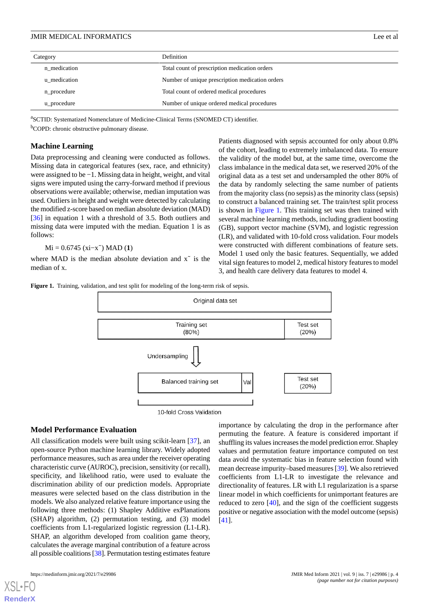| Category     | <b>Definition</b>                               |  |  |
|--------------|-------------------------------------------------|--|--|
| n medication | Total count of prescription medication orders   |  |  |
| u medication | Number of unique prescription medication orders |  |  |
| n_procedure  | Total count of ordered medical procedures       |  |  |
| u_procedure  | Number of unique ordered medical procedures     |  |  |

a SCTID: Systematized Nomenclature of Medicine-Clinical Terms (SNOMED CT) identifier.

<sup>b</sup>COPD: chronic obstructive pulmonary disease.

#### **Machine Learning**

Data preprocessing and cleaning were conducted as follows. Missing data in categorical features (sex, race, and ethnicity) were assigned to be −1. Missing data in height, weight, and vital signs were imputed using the carry-forward method if previous observations were available; otherwise, median imputation was used. Outliers in height and weight were detected by calculating the modified z-score based on median absolute deviation (MAD) [[36\]](#page-11-12) in equation 1 with a threshold of 3.5. Both outliers and missing data were imputed with the median. Equation 1 is as follows:

Mi = 0.6745 (xi−x̃) MAD (**1**)

<span id="page-3-0"></span>where MAD is the median absolute deviation and  $x^{\dagger}$  is the median of x.

Patients diagnosed with sepsis accounted for only about 0.8% of the cohort, leading to extremely imbalanced data. To ensure the validity of the model but, at the same time, overcome the class imbalance in the medical data set, we reserved 20% of the original data as a test set and undersampled the other 80% of the data by randomly selecting the same number of patients from the majority class (no sepsis) as the minority class (sepsis) to construct a balanced training set. The train/test split process is shown in [Figure 1](#page-3-0). This training set was then trained with several machine learning methods, including gradient boosting (GB), support vector machine (SVM), and logistic regression (LR), and validated with 10-fold cross validation. Four models were constructed with different combinations of feature sets. Model 1 used only the basic features. Sequentially, we added vital sign features to model 2, medical history features to model 3, and health care delivery data features to model 4.

Figure 1. Training, validation, and test split for modeling of the long-term risk of sepsis.



#### **Model Performance Evaluation**

All classification models were built using scikit-learn [[37\]](#page-11-13), an open-source Python machine learning library. Widely adopted performance measures, such as area under the receiver operating characteristic curve (AUROC), precision, sensitivity (or recall), specificity, and likelihood ratio, were used to evaluate the discrimination ability of our prediction models. Appropriate measures were selected based on the class distribution in the models. We also analyzed relative feature importance using the following three methods: (1) Shapley Additive exPlanations (SHAP) algorithm, (2) permutation testing, and (3) model coefficients from L1-regularized logistic regression (L1-LR). SHAP, an algorithm developed from coalition game theory, calculates the average marginal contribution of a feature across all possible coalitions [\[38\]](#page-12-0). Permutation testing estimates feature

importance by calculating the drop in the performance after permuting the feature. A feature is considered important if shuffling its values increases the model prediction error. Shapley values and permutation feature importance computed on test data avoid the systematic bias in feature selection found with mean decrease impurity–based measures [\[39\]](#page-12-1). We also retrieved coefficients from L1-LR to investigate the relevance and directionality of features. LR with L1 regularization is a sparse linear model in which coefficients for unimportant features are reduced to zero [[40\]](#page-12-2), and the sign of the coefficient suggests positive or negative association with the model outcome (sepsis) [[41\]](#page-12-3).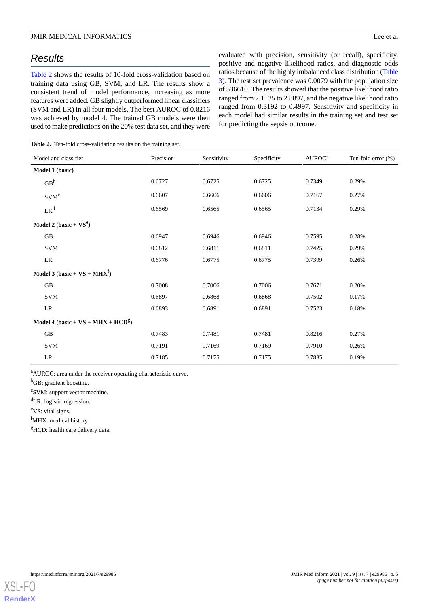# *Results*

[Table 2](#page-4-0) shows the results of 10-fold cross-validation based on training data using GB, SVM, and LR. The results show a consistent trend of model performance, increasing as more features were added. GB slightly outperformed linear classifiers (SVM and LR) in all four models. The best AUROC of 0.8216 was achieved by model 4. The trained GB models were then used to make predictions on the 20% test data set, and they were evaluated with precision, sensitivity (or recall), specificity, positive and negative likelihood ratios, and diagnostic odds ratios because of the highly imbalanced class distribution [\(Table](#page-5-0) [3\)](#page-5-0). The test set prevalence was 0.0079 with the population size of 536610. The results showed that the positive likelihood ratio ranged from 2.1135 to 2.8897, and the negative likelihood ratio ranged from 0.3192 to 0.4997. Sensitivity and specificity in each model had similar results in the training set and test set for predicting the sepsis outcome.

<span id="page-4-0"></span>**Table 2.** Ten-fold cross-validation results on the training set.

| Model and classifier                             | Precision | Sensitivity | Specificity | A U R O C <sup>a</sup> | Ten-fold error $(\%)$ |
|--------------------------------------------------|-----------|-------------|-------------|------------------------|-----------------------|
| Model 1 (basic)                                  |           |             |             |                        |                       |
| $GB^b$                                           | 0.6727    | 0.6725      | 0.6725      | 0.7349                 | 0.29%                 |
| SVM <sup>c</sup>                                 | 0.6607    | 0.6606      | 0.6606      | 0.7167                 | 0.27%                 |
| $LR^d$                                           | 0.6569    | 0.6565      | 0.6565      | 0.7134                 | 0.29%                 |
| Model 2 (basic + $VS^e$ )                        |           |             |             |                        |                       |
| $\rm GB$                                         | 0.6947    | 0.6946      | 0.6946      | 0.7595                 | 0.28%                 |
| <b>SVM</b>                                       | 0.6812    | 0.6811      | 0.6811      | 0.7425                 | 0.29%                 |
| LR                                               | 0.6776    | 0.6775      | 0.6775      | 0.7399                 | 0.26%                 |
| Model 3 (basic + $VS$ + MHX <sup>f</sup> )       |           |             |             |                        |                       |
| $\rm GB$                                         | 0.7008    | 0.7006      | 0.7006      | 0.7671                 | 0.20%                 |
| <b>SVM</b>                                       | 0.6897    | 0.6868      | 0.6868      | 0.7502                 | 0.17%                 |
| LR                                               | 0.6893    | 0.6891      | 0.6891      | 0.7523                 | 0.18%                 |
| Model 4 (basic + $VS$ + MHX + HCD <sup>g</sup> ) |           |             |             |                        |                       |
| $\rm GB$                                         | 0.7483    | 0.7481      | 0.7481      | 0.8216                 | 0.27%                 |
| <b>SVM</b>                                       | 0.7191    | 0.7169      | 0.7169      | 0.7910                 | 0.26%                 |
| LR                                               | 0.7185    | 0.7175      | 0.7175      | 0.7835                 | 0.19%                 |

<sup>a</sup>AUROC: area under the receiver operating characteristic curve.

<sup>b</sup>GB: gradient boosting.

<sup>c</sup>SVM: support vector machine.

<sup>d</sup>LR: logistic regression.

<sup>e</sup>VS: vital signs.

fMHX: medical history.

<sup>g</sup>HCD: health care delivery data.

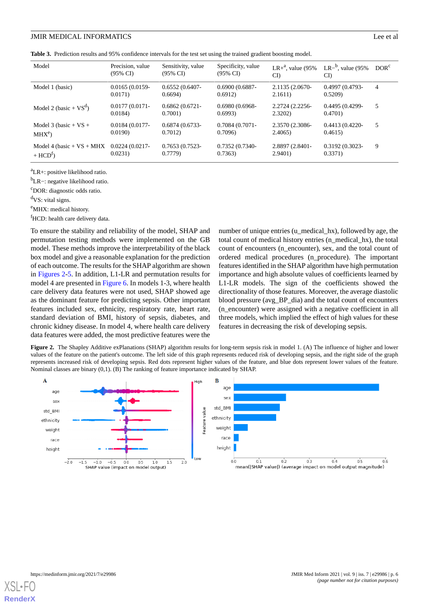<span id="page-5-0"></span>

|  | Table 3. Prediction results and 95% confidence intervals for the test set using the trained gradient boosting model. |  |  |  |  |  |
|--|----------------------------------------------------------------------------------------------------------------------|--|--|--|--|--|
|--|----------------------------------------------------------------------------------------------------------------------|--|--|--|--|--|

| Model                                     | Precision, value<br>(95% CI) | Sensitivity, value<br>(95% CI) | Specificity, value<br>$(95\% \text{ CI})$ | LR+ $^a$ , value (95%)<br>CI | LR $-b$ , value (95%)<br>CD  | DOR <sup>c</sup> |
|-------------------------------------------|------------------------------|--------------------------------|-------------------------------------------|------------------------------|------------------------------|------------------|
| Model 1 (basic)                           | $0.0165(0.0159 -$<br>0.0171  | $0.6552(0.6407 -$<br>0.6694    | $0.6900(0.6887 -$<br>0.6912               | 2.1135 (2.0670-<br>2.1611)   | $0.4997(0.4793 -$<br>0.5209  | 4                |
| Model 2 (basic + $VS^d$ )                 | $0.0177(0.0171 -$<br>0.0184  | $0.6862(0.6721 -$<br>0.7001    | $0.6980(0.6968 -$<br>0.6993               | 2.2724 (2.2256-<br>2.3202    | $0.4495(0.4299 -$<br>0.4701  | 5                |
| Model 3 (basic + $VS +$<br>$MHX^e$        | $0.0184(0.0177 -$<br>0.0190  | $0.6874(0.6733-$<br>0.7012     | $0.7084(0.7071-$<br>0.7096                | 2.3570 (2.3086-<br>2.4065    | $0.4413(0.4220 -$<br>0.4615  | 5                |
| Model 4 (basic + $VS$ + MHX<br>$+ HCDt$ ) | $0.0224(0.0217-$<br>0.0231)  | $0.7653(0.7523-$<br>0.7779     | 0.7352 (0.7340-<br>0.7363                 | 2.8897 (2.8401-<br>2.9401    | $0.3192(0.3023 -$<br>0.3371) | 9                |

<sup>a</sup>LR+: positive likelihood ratio.

<sup>b</sup>LR−: negative likelihood ratio.

<sup>c</sup>DOR: diagnostic odds ratio.

<sup>d</sup>VS: vital signs.

eMHX: medical history.

 ${}^f$ HCD: health care delivery data.

To ensure the stability and reliability of the model, SHAP and permutation testing methods were implemented on the GB model. These methods improve the interpretability of the black box model and give a reasonable explanation for the prediction of each outcome. The results for the SHAP algorithm are shown in [Figures 2-](#page-5-1)[5.](#page-7-0) In addition, L1-LR and permutation results for model 4 are presented in [Figure 6.](#page-8-0) In models 1-3, where health care delivery data features were not used, SHAP showed age as the dominant feature for predicting sepsis. Other important features included sex, ethnicity, respiratory rate, heart rate, standard deviation of BMI, history of sepsis, diabetes, and chronic kidney disease. In model 4, where health care delivery data features were added, the most predictive features were the number of unique entries (u\_medical\_hx), followed by age, the total count of medical history entries (n\_medical\_hx), the total count of encounters (n\_encounter), sex, and the total count of ordered medical procedures (n\_procedure). The important features identified in the SHAP algorithm have high permutation importance and high absolute values of coefficients learned by L1-LR models. The sign of the coefficients showed the directionality of those features. Moreover, the average diastolic blood pressure (avg\_BP\_dia) and the total count of encounters (n\_encounter) were assigned with a negative coefficient in all three models, which implied the effect of high values for these features in decreasing the risk of developing sepsis.

<span id="page-5-1"></span>**Figure 2.** The Shapley Additive exPlanations (SHAP) algorithm results for long-term sepsis risk in model 1. (A) The influence of higher and lower values of the feature on the patient's outcome. The left side of this graph represents reduced risk of developing sepsis, and the right side of the graph represents increased risk of developing sepsis. Red dots represent higher values of the feature, and blue dots represent lower values of the feature. Nominal classes are binary (0,1). (B) The ranking of feature importance indicated by SHAP.



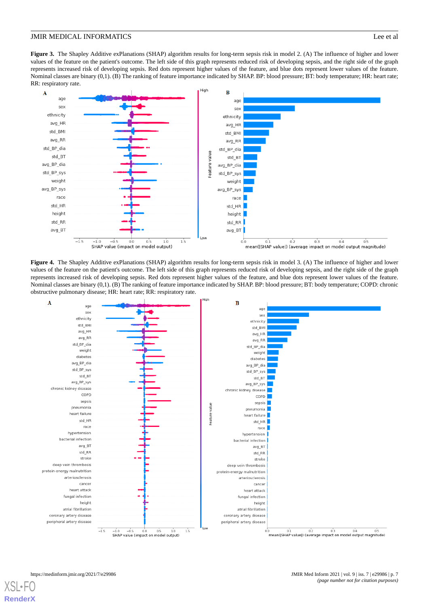**Figure 3.** The Shapley Additive exPlanations (SHAP) algorithm results for long-term sepsis risk in model 2. (A) The influence of higher and lower values of the feature on the patient's outcome. The left side of this graph represents reduced risk of developing sepsis, and the right side of the graph represents increased risk of developing sepsis. Red dots represent higher values of the feature, and blue dots represent lower values of the feature. Nominal classes are binary (0,1). (B) The ranking of feature importance indicated by SHAP. BP: blood pressure; BT: body temperature; HR: heart rate; RR: respiratory rate.



**Figure 4.** The Shapley Additive exPlanations (SHAP) algorithm results for long-term sepsis risk in model 3. (A) The influence of higher and lower values of the feature on the patient's outcome. The left side of this graph represents reduced risk of developing sepsis, and the right side of the graph represents increased risk of developing sepsis. Red dots represent higher values of the feature, and blue dots represent lower values of the feature. Nominal classes are binary (0,1). (B) The ranking of feature importance indicated by SHAP. BP: blood pressure; BT: body temperature; COPD: chronic obstructive pulmonary disease; HR: heart rate; RR: respiratory rate.



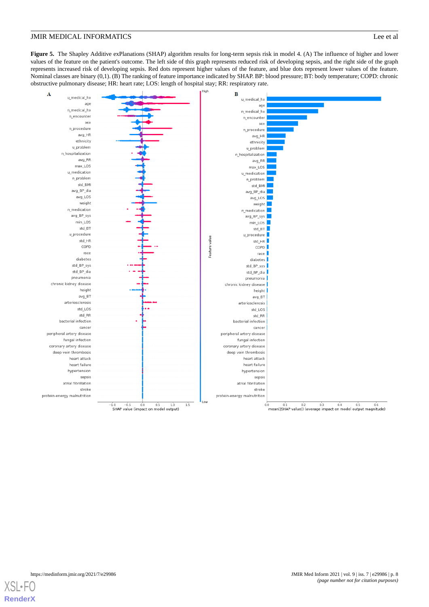<span id="page-7-0"></span>**Figure 5.** The Shapley Additive exPlanations (SHAP) algorithm results for long-term sepsis risk in model 4. (A) The influence of higher and lower values of the feature on the patient's outcome. The left side of this graph represents reduced risk of developing sepsis, and the right side of the graph represents increased risk of developing sepsis. Red dots represent higher values of the feature, and blue dots represent lower values of the feature. Nominal classes are binary (0,1). (B) The ranking of feature importance indicated by SHAP. BP: blood pressure; BT: body temperature; COPD: chronic obstructive pulmonary disease; HR: heart rate; LOS: length of hospital stay; RR: respiratory rate.



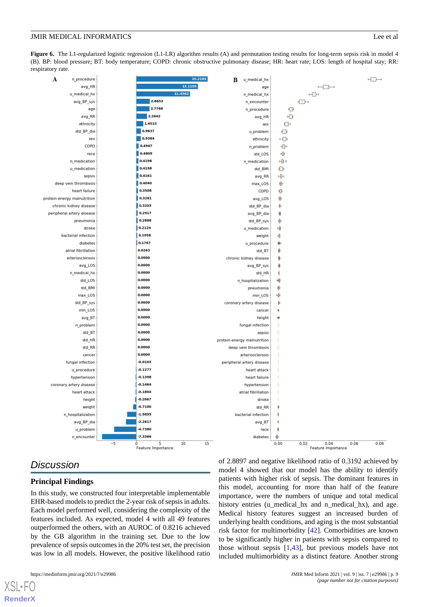<span id="page-8-0"></span>Figure 6. The L1-regularized logistic regression (L1-LR) algorithm results (A) and permutation testing results for long-term sepsis risk in model 4 (B). BP: blood pressure; BT: body temperature; COPD: chronic obstructive pulmonary disease; HR: heart rate; LOS: length of hospital stay; RR: respiratory rate.



# *Discussion*

#### **Principal Findings**

In this study, we constructed four interpretable implementable EHR-based models to predict the 2-year risk of sepsis in adults. Each model performed well, considering the complexity of the features included. As expected, model 4 with all 49 features outperformed the others, with an AUROC of 0.8216 achieved by the GB algorithm in the training set. Due to the low prevalence of sepsis outcomes in the 20% test set, the precision was low in all models. However, the positive likelihood ratio

[XSL](http://www.w3.org/Style/XSL)•FO **[RenderX](http://www.renderx.com/)**

of 2.8897 and negative likelihood ratio of 0.3192 achieved by model 4 showed that our model has the ability to identify patients with higher risk of sepsis. The dominant features in this model, accounting for more than half of the feature importance, were the numbers of unique and total medical history entries (u\_medical\_hx and n\_medical\_hx), and age. Medical history features suggest an increased burden of underlying health conditions, and aging is the most substantial risk factor for multimorbidity [[42\]](#page-12-4). Comorbidities are known to be significantly higher in patients with sepsis compared to those without sepsis  $[1,43]$  $[1,43]$  $[1,43]$  $[1,43]$ , but previous models have not included multimorbidity as a distinct feature. Another strong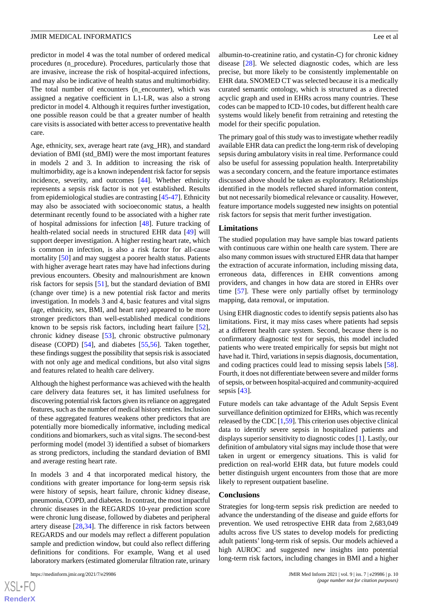predictor in model 4 was the total number of ordered medical procedures (n\_procedure). Procedures, particularly those that are invasive, increase the risk of hospital-acquired infections, and may also be indicative of health status and multimorbidity. The total number of encounters (n\_encounter), which was assigned a negative coefficient in L1-LR, was also a strong predictor in model 4. Although it requires further investigation, one possible reason could be that a greater number of health care visits is associated with better access to preventative health care.

Age, ethnicity, sex, average heart rate (avg\_HR), and standard deviation of BMI (std\_BMI) were the most important features in models 2 and 3. In addition to increasing the risk of multimorbidity, age is a known independent risk factor for sepsis incidence, severity, and outcomes [\[44](#page-12-6)]. Whether ethnicity represents a sepsis risk factor is not yet established. Results from epidemiological studies are contrasting [[45](#page-12-7)[-47](#page-12-8)]. Ethnicity may also be associated with socioeconomic status, a health determinant recently found to be associated with a higher rate of hospital admissions for infection [[48\]](#page-12-9). Future tracking of health-related social needs in structured EHR data [[49\]](#page-12-10) will support deeper investigation. A higher resting heart rate, which is common in infection, is also a risk factor for all-cause mortality [\[50](#page-12-11)] and may suggest a poorer health status. Patients with higher average heart rates may have had infections during previous encounters. Obesity and malnourishment are known risk factors for sepsis [\[51](#page-12-12)], but the standard deviation of BMI (change over time) is a new potential risk factor and merits investigation. In models 3 and 4, basic features and vital signs (age, ethnicity, sex, BMI, and heart rate) appeared to be more stronger predictors than well-established medical conditions known to be sepsis risk factors, including heart failure [[52\]](#page-12-13), chronic kidney disease [\[53](#page-12-14)], chronic obstructive pulmonary disease (COPD) [[54\]](#page-12-15), and diabetes [[55](#page-12-16)[,56](#page-12-17)]. Taken together, these findings suggest the possibility that sepsis risk is associated with not only age and medical conditions, but also vital signs and features related to health care delivery.

Although the highest performance was achieved with the health care delivery data features set, it has limited usefulness for discovering potential risk factors given its reliance on aggregated features, such as the number of medical history entries. Inclusion of these aggregated features weakens other predictors that are potentially more biomedically informative, including medical conditions and biomarkers, such as vital signs. The second-best performing model (model 3) identified a subset of biomarkers as strong predictors, including the standard deviation of BMI and average resting heart rate.

In models 3 and 4 that incorporated medical history, the conditions with greater importance for long-term sepsis risk were history of sepsis, heart failure, chronic kidney disease, pneumonia, COPD, and diabetes. In contrast, the most impactful chronic diseases in the REGARDS 10-year prediction score were chronic lung disease, followed by diabetes and peripheral artery disease [[28,](#page-11-4)[34](#page-11-10)]. The difference in risk factors between REGARDS and our models may reflect a different population sample and prediction window, but could also reflect differing definitions for conditions. For example, Wang et al used laboratory markers (estimated glomerular filtration rate, urinary

albumin-to-creatinine ratio, and cystatin-C) for chronic kidney disease [[28\]](#page-11-4). We selected diagnostic codes, which are less precise, but more likely to be consistently implementable on EHR data. SNOMED CT was selected because it is a medically curated semantic ontology, which is structured as a directed acyclic graph and used in EHRs across many countries. These codes can be mapped to ICD-10 codes, but different health care systems would likely benefit from retraining and retesting the model for their specific population.

The primary goal of this study was to investigate whether readily available EHR data can predict the long-term risk of developing sepsis during ambulatory visits in real time. Performance could also be useful for assessing population health. Interpretability was a secondary concern, and the feature importance estimates discussed above should be taken as exploratory. Relationships identified in the models reflected shared information content, but not necessarily biomedical relevance or causality. However, feature importance models suggested new insights on potential risk factors for sepsis that merit further investigation.

#### **Limitations**

The studied population may have sample bias toward patients with continuous care within one health care system. There are also many common issues with structured EHR data that hamper the extraction of accurate information, including missing data, erroneous data, differences in EHR conventions among providers, and changes in how data are stored in EHRs over time [\[57](#page-12-18)]. These were only partially offset by terminology mapping, data removal, or imputation.

Using EHR diagnostic codes to identify sepsis patients also has limitations. First, it may miss cases where patients had sepsis at a different health care system. Second, because there is no confirmatory diagnostic test for sepsis, this model included patients who were treated empirically for sepsis but might not have had it. Third, variations in sepsis diagnosis, documentation, and coding practices could lead to missing sepsis labels [[58\]](#page-12-19). Fourth, it does not differentiate between severe and milder forms of sepsis, or between hospital-acquired and community-acquired sepsis [\[43](#page-12-5)].

Future models can take advantage of the Adult Sepsis Event surveillance definition optimized for EHRs, which was recently released by the CDC [[1,](#page-10-0)[59\]](#page-12-20). This criterion uses objective clinical data to identify severe sepsis in hospitalized patients and displays superior sensitivity to diagnostic codes [[1\]](#page-10-0). Lastly, our definition of ambulatory vital signs may include those that were taken in urgent or emergency situations. This is valid for prediction on real-world EHR data, but future models could better distinguish urgent encounters from those that are more likely to represent outpatient baseline.

#### **Conclusions**

Strategies for long-term sepsis risk prediction are needed to advance the understanding of the disease and guide efforts for prevention. We used retrospective EHR data from 2,683,049 adults across five US states to develop models for predicting adult patients' long-term risk of sepsis. Our models achieved a high AUROC and suggested new insights into potential long-term risk factors, including changes in BMI and a higher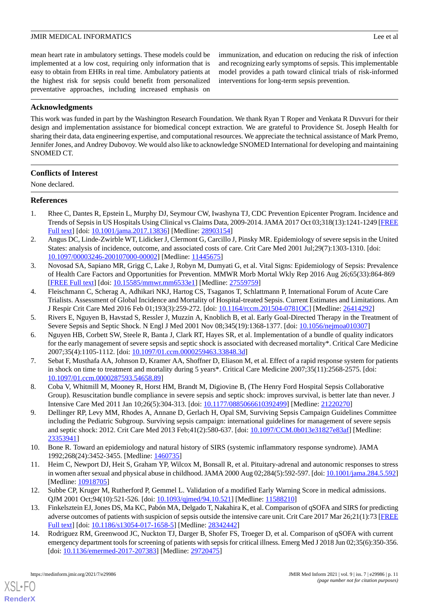mean heart rate in ambulatory settings. These models could be implemented at a low cost, requiring only information that is easy to obtain from EHRs in real time. Ambulatory patients at the highest risk for sepsis could benefit from personalized preventative approaches, including increased emphasis on

immunization, and education on reducing the risk of infection and recognizing early symptoms of sepsis. This implementable model provides a path toward clinical trials of risk-informed interventions for long-term sepsis prevention.

### **Acknowledgments**

This work was funded in part by the Washington Research Foundation. We thank Ryan T Roper and Venkata R Duvvuri for their design and implementation assistance for biomedical concept extraction. We are grateful to Providence St. Joseph Health for sharing their data, data engineering expertise, and computational resources. We appreciate the technical assistance of Mark Premo, Jennifer Jones, and Andrey Dubovoy. We would also like to acknowledge SNOMED International for developing and maintaining SNOMED CT.

#### **Conflicts of Interest**

<span id="page-10-0"></span>None declared.

#### **References**

- <span id="page-10-1"></span>1. Rhee C, Dantes R, Epstein L, Murphy DJ, Seymour CW, Iwashyna TJ, CDC Prevention Epicenter Program. Incidence and Trends of Sepsis in US Hospitals Using Clinical vs Claims Data, 2009-2014. JAMA 2017 Oct 03;318(13):1241-1249 [[FREE](http://europepmc.org/abstract/MED/28903154) [Full text\]](http://europepmc.org/abstract/MED/28903154) [doi: [10.1001/jama.2017.13836\]](http://dx.doi.org/10.1001/jama.2017.13836) [Medline: [28903154\]](http://www.ncbi.nlm.nih.gov/entrez/query.fcgi?cmd=Retrieve&db=PubMed&list_uids=28903154&dopt=Abstract)
- 2. Angus DC, Linde-Zwirble WT, Lidicker J, Clermont G, Carcillo J, Pinsky MR. Epidemiology of severe sepsis in the United States: analysis of incidence, outcome, and associated costs of care. Crit Care Med 2001 Jul;29(7):1303-1310. [doi: [10.1097/00003246-200107000-00002](http://dx.doi.org/10.1097/00003246-200107000-00002)] [Medline: [11445675](http://www.ncbi.nlm.nih.gov/entrez/query.fcgi?cmd=Retrieve&db=PubMed&list_uids=11445675&dopt=Abstract)]
- <span id="page-10-2"></span>3. Novosad SA, Sapiano MR, Grigg C, Lake J, Robyn M, Dumyati G, et al. Vital Signs: Epidemiology of Sepsis: Prevalence of Health Care Factors and Opportunities for Prevention. MMWR Morb Mortal Wkly Rep 2016 Aug 26;65(33):864-869 [[FREE Full text](https://doi.org/10.15585/mmwr.mm6533e1)] [doi: [10.15585/mmwr.mm6533e1\]](http://dx.doi.org/10.15585/mmwr.mm6533e1) [Medline: [27559759\]](http://www.ncbi.nlm.nih.gov/entrez/query.fcgi?cmd=Retrieve&db=PubMed&list_uids=27559759&dopt=Abstract)
- <span id="page-10-3"></span>4. Fleischmann C, Scherag A, Adhikari NKJ, Hartog CS, Tsaganos T, Schlattmann P, International Forum of Acute Care Trialists. Assessment of Global Incidence and Mortality of Hospital-treated Sepsis. Current Estimates and Limitations. Am J Respir Crit Care Med 2016 Feb 01;193(3):259-272. [doi: [10.1164/rccm.201504-0781OC\]](http://dx.doi.org/10.1164/rccm.201504-0781OC) [Medline: [26414292](http://www.ncbi.nlm.nih.gov/entrez/query.fcgi?cmd=Retrieve&db=PubMed&list_uids=26414292&dopt=Abstract)]
- 5. Rivers E, Nguyen B, Havstad S, Ressler J, Muzzin A, Knoblich B, et al. Early Goal-Directed Therapy in the Treatment of Severe Sepsis and Septic Shock. N Engl J Med 2001 Nov 08;345(19):1368-1377. [doi: [10.1056/nejmoa010307](http://dx.doi.org/10.1056/nejmoa010307)]
- 6. Nguyen HB, Corbett SW, Steele R, Banta J, Clark RT, Hayes SR, et al. Implementation of a bundle of quality indicators for the early management of severe sepsis and septic shock is associated with decreased mortality\*. Critical Care Medicine 2007;35(4):1105-1112. [doi: [10.1097/01.ccm.0000259463.33848.3d](http://dx.doi.org/10.1097/01.ccm.0000259463.33848.3d)]
- <span id="page-10-4"></span>7. Sebat F, Musthafa AA, Johnson D, Kramer AA, Shoffner D, Eliason M, et al. Effect of a rapid response system for patients in shock on time to treatment and mortality during 5 years\*. Critical Care Medicine 2007;35(11):2568-2575. [doi: [10.1097/01.ccm.0000287593.54658.89\]](http://dx.doi.org/10.1097/01.ccm.0000287593.54658.89)
- 8. Coba V, Whitmill M, Mooney R, Horst HM, Brandt M, Digiovine B, (The Henry Ford Hospital Sepsis Collaborative Group). Resuscitation bundle compliance in severe sepsis and septic shock: improves survival, is better late than never. J Intensive Care Med 2011 Jan 10;26(5):304-313. [doi: [10.1177/0885066610392499](http://dx.doi.org/10.1177/0885066610392499)] [Medline: [21220270\]](http://www.ncbi.nlm.nih.gov/entrez/query.fcgi?cmd=Retrieve&db=PubMed&list_uids=21220270&dopt=Abstract)
- <span id="page-10-6"></span><span id="page-10-5"></span>9. Dellinger RP, Levy MM, Rhodes A, Annane D, Gerlach H, Opal SM, Surviving Sepsis Campaign Guidelines Committee including the Pediatric Subgroup. Surviving sepsis campaign: international guidelines for management of severe sepsis and septic shock: 2012. Crit Care Med 2013 Feb;41(2):580-637. [doi: [10.1097/CCM.0b013e31827e83af](http://dx.doi.org/10.1097/CCM.0b013e31827e83af)] [Medline: [23353941](http://www.ncbi.nlm.nih.gov/entrez/query.fcgi?cmd=Retrieve&db=PubMed&list_uids=23353941&dopt=Abstract)]
- <span id="page-10-7"></span>10. Bone R. Toward an epidemiology and natural history of SIRS (systemic inflammatory response syndrome). JAMA 1992;268(24):3452-3455. [Medline: [1460735](http://www.ncbi.nlm.nih.gov/entrez/query.fcgi?cmd=Retrieve&db=PubMed&list_uids=1460735&dopt=Abstract)]
- <span id="page-10-8"></span>11. Heim C, Newport DJ, Heit S, Graham YP, Wilcox M, Bonsall R, et al. Pituitary-adrenal and autonomic responses to stress in women after sexual and physical abuse in childhood. JAMA 2000 Aug 02;284(5):592-597. [doi: [10.1001/jama.284.5.592](http://dx.doi.org/10.1001/jama.284.5.592)] [Medline: [10918705](http://www.ncbi.nlm.nih.gov/entrez/query.fcgi?cmd=Retrieve&db=PubMed&list_uids=10918705&dopt=Abstract)]
- 12. Subbe CP, Kruger M, Rutherford P, Gemmel L. Validation of a modified Early Warning Score in medical admissions. QJM 2001 Oct;94(10):521-526. [doi: [10.1093/qjmed/94.10.521\]](http://dx.doi.org/10.1093/qjmed/94.10.521) [Medline: [11588210\]](http://www.ncbi.nlm.nih.gov/entrez/query.fcgi?cmd=Retrieve&db=PubMed&list_uids=11588210&dopt=Abstract)
- 13. Finkelsztein EJ, Jones DS, Ma KC, Pabón MA, Delgado T, Nakahira K, et al. Comparison of qSOFA and SIRS for predicting adverse outcomes of patients with suspicion of sepsis outside the intensive care unit. Crit Care 2017 Mar 26;21(1):73 [\[FREE](https://ccforum.biomedcentral.com/articles/10.1186/s13054-017-1658-5) [Full text\]](https://ccforum.biomedcentral.com/articles/10.1186/s13054-017-1658-5) [doi: [10.1186/s13054-017-1658-5](http://dx.doi.org/10.1186/s13054-017-1658-5)] [Medline: [28342442](http://www.ncbi.nlm.nih.gov/entrez/query.fcgi?cmd=Retrieve&db=PubMed&list_uids=28342442&dopt=Abstract)]
- 14. Rodriguez RM, Greenwood JC, Nuckton TJ, Darger B, Shofer FS, Troeger D, et al. Comparison of qSOFA with current emergency department tools for screening of patients with sepsis for critical illness. Emerg Med J 2018 Jun 02;35(6):350-356. [doi: [10.1136/emermed-2017-207383](http://dx.doi.org/10.1136/emermed-2017-207383)] [Medline: [29720475\]](http://www.ncbi.nlm.nih.gov/entrez/query.fcgi?cmd=Retrieve&db=PubMed&list_uids=29720475&dopt=Abstract)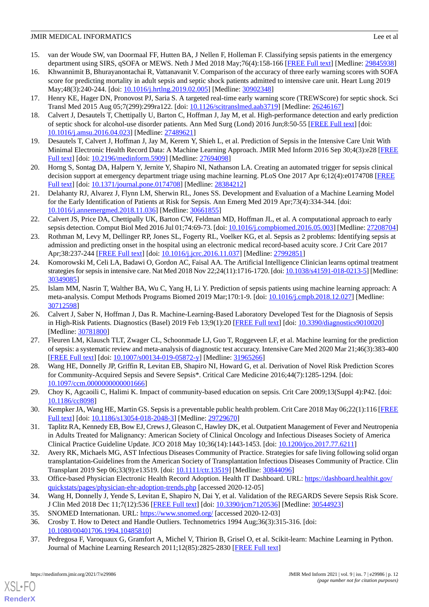- 15. van der Woude SW, van Doormaal FF, Hutten BA, J Nellen F, Holleman F. Classifying sepsis patients in the emergency department using SIRS, qSOFA or MEWS. Neth J Med 2018 May;76(4):158-166 [[FREE Full text](http://www.njmonline.nl/njm/getarticle.php?v=76&i=4&p=158)] [Medline: [29845938](http://www.ncbi.nlm.nih.gov/entrez/query.fcgi?cmd=Retrieve&db=PubMed&list_uids=29845938&dopt=Abstract)]
- <span id="page-11-0"></span>16. Khwannimit B, Bhurayanontachai R, Vattanavanit V. Comparison of the accuracy of three early warning scores with SOFA score for predicting mortality in adult sepsis and septic shock patients admitted to intensive care unit. Heart Lung 2019 May;48(3):240-244. [doi: [10.1016/j.hrtlng.2019.02.005\]](http://dx.doi.org/10.1016/j.hrtlng.2019.02.005) [Medline: [30902348](http://www.ncbi.nlm.nih.gov/entrez/query.fcgi?cmd=Retrieve&db=PubMed&list_uids=30902348&dopt=Abstract)]
- <span id="page-11-1"></span>17. Henry KE, Hager DN, Pronovost PJ, Saria S. A targeted real-time early warning score (TREWScore) for septic shock. Sci Transl Med 2015 Aug 05;7(299):299ra122. [doi: [10.1126/scitranslmed.aab3719\]](http://dx.doi.org/10.1126/scitranslmed.aab3719) [Medline: [26246167\]](http://www.ncbi.nlm.nih.gov/entrez/query.fcgi?cmd=Retrieve&db=PubMed&list_uids=26246167&dopt=Abstract)
- 18. Calvert J, Desautels T, Chettipally U, Barton C, Hoffman J, Jay M, et al. High-performance detection and early prediction of septic shock for alcohol-use disorder patients. Ann Med Surg (Lond) 2016 Jun;8:50-55 [\[FREE Full text\]](https://linkinghub.elsevier.com/retrieve/pii/S2049-0801(16)30041-3) [doi: [10.1016/j.amsu.2016.04.023\]](http://dx.doi.org/10.1016/j.amsu.2016.04.023) [Medline: [27489621](http://www.ncbi.nlm.nih.gov/entrez/query.fcgi?cmd=Retrieve&db=PubMed&list_uids=27489621&dopt=Abstract)]
- 19. Desautels T, Calvert J, Hoffman J, Jay M, Kerem Y, Shieh L, et al. Prediction of Sepsis in the Intensive Care Unit With Minimal Electronic Health Record Data: A Machine Learning Approach. JMIR Med Inform 2016 Sep 30;4(3):e28 [\[FREE](https://medinform.jmir.org/2016/3/e28/) [Full text\]](https://medinform.jmir.org/2016/3/e28/) [doi: [10.2196/medinform.5909](http://dx.doi.org/10.2196/medinform.5909)] [Medline: [27694098](http://www.ncbi.nlm.nih.gov/entrez/query.fcgi?cmd=Retrieve&db=PubMed&list_uids=27694098&dopt=Abstract)]
- <span id="page-11-2"></span>20. Horng S, Sontag DA, Halpern Y, Jernite Y, Shapiro NI, Nathanson LA. Creating an automated trigger for sepsis clinical decision support at emergency department triage using machine learning. PLoS One 2017 Apr 6;12(4):e0174708 [[FREE](https://dx.plos.org/10.1371/journal.pone.0174708) [Full text\]](https://dx.plos.org/10.1371/journal.pone.0174708) [doi: [10.1371/journal.pone.0174708](http://dx.doi.org/10.1371/journal.pone.0174708)] [Medline: [28384212](http://www.ncbi.nlm.nih.gov/entrez/query.fcgi?cmd=Retrieve&db=PubMed&list_uids=28384212&dopt=Abstract)]
- 21. Delahanty RJ, Alvarez J, Flynn LM, Sherwin RL, Jones SS. Development and Evaluation of a Machine Learning Model for the Early Identification of Patients at Risk for Sepsis. Ann Emerg Med 2019 Apr;73(4):334-344. [doi: [10.1016/j.annemergmed.2018.11.036](http://dx.doi.org/10.1016/j.annemergmed.2018.11.036)] [Medline: [30661855\]](http://www.ncbi.nlm.nih.gov/entrez/query.fcgi?cmd=Retrieve&db=PubMed&list_uids=30661855&dopt=Abstract)
- 22. Calvert JS, Price DA, Chettipally UK, Barton CW, Feldman MD, Hoffman JL, et al. A computational approach to early sepsis detection. Comput Biol Med 2016 Jul 01;74:69-73. [doi: [10.1016/j.compbiomed.2016.05.003\]](http://dx.doi.org/10.1016/j.compbiomed.2016.05.003) [Medline: [27208704](http://www.ncbi.nlm.nih.gov/entrez/query.fcgi?cmd=Retrieve&db=PubMed&list_uids=27208704&dopt=Abstract)]
- 23. Rothman M, Levy M, Dellinger RP, Jones SL, Fogerty RL, Voelker KG, et al. Sepsis as 2 problems: Identifying sepsis at admission and predicting onset in the hospital using an electronic medical record-based acuity score. J Crit Care 2017 Apr;38:237-244 [[FREE Full text](https://linkinghub.elsevier.com/retrieve/pii/S0883-9441(16)30277-5)] [doi: [10.1016/j.jcrc.2016.11.037](http://dx.doi.org/10.1016/j.jcrc.2016.11.037)] [Medline: [27992851](http://www.ncbi.nlm.nih.gov/entrez/query.fcgi?cmd=Retrieve&db=PubMed&list_uids=27992851&dopt=Abstract)]
- 24. Komorowski M, Celi LA, Badawi O, Gordon AC, Faisal AA. The Artificial Intelligence Clinician learns optimal treatment strategies for sepsis in intensive care. Nat Med 2018 Nov 22;24(11):1716-1720. [doi: [10.1038/s41591-018-0213-5\]](http://dx.doi.org/10.1038/s41591-018-0213-5) [Medline: [30349085](http://www.ncbi.nlm.nih.gov/entrez/query.fcgi?cmd=Retrieve&db=PubMed&list_uids=30349085&dopt=Abstract)]
- 25. Islam MM, Nasrin T, Walther BA, Wu C, Yang H, Li Y. Prediction of sepsis patients using machine learning approach: A meta-analysis. Comput Methods Programs Biomed 2019 Mar;170:1-9. [doi: [10.1016/j.cmpb.2018.12.027](http://dx.doi.org/10.1016/j.cmpb.2018.12.027)] [Medline: [30712598](http://www.ncbi.nlm.nih.gov/entrez/query.fcgi?cmd=Retrieve&db=PubMed&list_uids=30712598&dopt=Abstract)]
- <span id="page-11-3"></span>26. Calvert J, Saber N, Hoffman J, Das R. Machine-Learning-Based Laboratory Developed Test for the Diagnosis of Sepsis in High-Risk Patients. Diagnostics (Basel) 2019 Feb 13;9(1):20 [[FREE Full text](https://www.mdpi.com/resolver?pii=diagnostics9010020)] [doi: [10.3390/diagnostics9010020\]](http://dx.doi.org/10.3390/diagnostics9010020) [Medline: [30781800](http://www.ncbi.nlm.nih.gov/entrez/query.fcgi?cmd=Retrieve&db=PubMed&list_uids=30781800&dopt=Abstract)]
- <span id="page-11-4"></span>27. Fleuren LM, Klausch TLT, Zwager CL, Schoonmade LJ, Guo T, Roggeveen LF, et al. Machine learning for the prediction of sepsis: a systematic review and meta-analysis of diagnostic test accuracy. Intensive Care Med 2020 Mar 21;46(3):383-400 [[FREE Full text](http://europepmc.org/abstract/MED/31965266)] [doi: [10.1007/s00134-019-05872-y\]](http://dx.doi.org/10.1007/s00134-019-05872-y) [Medline: [31965266](http://www.ncbi.nlm.nih.gov/entrez/query.fcgi?cmd=Retrieve&db=PubMed&list_uids=31965266&dopt=Abstract)]
- <span id="page-11-6"></span><span id="page-11-5"></span>28. Wang HE, Donnelly JP, Griffin R, Levitan EB, Shapiro NI, Howard G, et al. Derivation of Novel Risk Prediction Scores for Community-Acquired Sepsis and Severe Sepsis\*. Critical Care Medicine 2016;44(7):1285-1294. [doi: [10.1097/ccm.0000000000001666\]](http://dx.doi.org/10.1097/ccm.0000000000001666)
- <span id="page-11-7"></span>29. Choy K, Agcaoili C, Halimi K. Impact of community-based education on sepsis. Crit Care 2009;13(Suppl 4):P42. [doi: [10.1186/cc8098\]](http://dx.doi.org/10.1186/cc8098)
- <span id="page-11-8"></span>30. Kempker JA, Wang HE, Martin GS. Sepsis is a preventable public health problem. Crit Care 2018 May 06;22(1):116 [\[FREE](https://ccforum.biomedcentral.com/articles/10.1186/s13054-018-2048-3) [Full text\]](https://ccforum.biomedcentral.com/articles/10.1186/s13054-018-2048-3) [doi: [10.1186/s13054-018-2048-3](http://dx.doi.org/10.1186/s13054-018-2048-3)] [Medline: [29729670](http://www.ncbi.nlm.nih.gov/entrez/query.fcgi?cmd=Retrieve&db=PubMed&list_uids=29729670&dopt=Abstract)]
- <span id="page-11-9"></span>31. Taplitz RA, Kennedy EB, Bow EJ, Crews J, Gleason C, Hawley DK, et al. Outpatient Management of Fever and Neutropenia in Adults Treated for Malignancy: American Society of Clinical Oncology and Infectious Diseases Society of America Clinical Practice Guideline Update. JCO 2018 May 10;36(14):1443-1453. [doi: [10.1200/jco.2017.77.6211\]](http://dx.doi.org/10.1200/jco.2017.77.6211)
- <span id="page-11-11"></span><span id="page-11-10"></span>32. Avery RK, Michaels MG, AST Infectious Diseases Community of Practice. Strategies for safe living following solid organ transplantation-Guidelines from the American Society of Transplantation Infectious Diseases Community of Practice. Clin Transplant 2019 Sep 06;33(9):e13519. [doi: [10.1111/ctr.13519](http://dx.doi.org/10.1111/ctr.13519)] [Medline: [30844096](http://www.ncbi.nlm.nih.gov/entrez/query.fcgi?cmd=Retrieve&db=PubMed&list_uids=30844096&dopt=Abstract)]
- <span id="page-11-13"></span><span id="page-11-12"></span>33. Office-based Physician Electronic Health Record Adoption. Health IT Dashboard. URL: [https://dashboard.healthit.gov/](https://dashboard.healthit.gov/quickstats/pages/physician-ehr-adoption-trends.php) [quickstats/pages/physician-ehr-adoption-trends.php](https://dashboard.healthit.gov/quickstats/pages/physician-ehr-adoption-trends.php) [accessed 2020-12-05]
- 34. Wang H, Donnelly J, Yende S, Levitan E, Shapiro N, Dai Y, et al. Validation of the REGARDS Severe Sepsis Risk Score. J Clin Med 2018 Dec 11;7(12):536 [[FREE Full text](https://www.mdpi.com/resolver?pii=jcm7120536)] [doi: [10.3390/jcm7120536\]](http://dx.doi.org/10.3390/jcm7120536) [Medline: [30544923](http://www.ncbi.nlm.nih.gov/entrez/query.fcgi?cmd=Retrieve&db=PubMed&list_uids=30544923&dopt=Abstract)]
- 35. SNOMED Internationan. URL: <https://www.snomed.org/> [accessed 2020-12-03]
- 36. Crosby T. How to Detect and Handle Outliers. Technometrics 1994 Aug;36(3):315-316. [doi: [10.1080/00401706.1994.10485810\]](http://dx.doi.org/10.1080/00401706.1994.10485810)
- 37. Pedregosa F, Varoquaux G, Gramfort A, Michel V, Thirion B, Grisel O, et al. Scikit-learn: Machine Learning in Python. Journal of Machine Learning Research 2011;12(85):2825-2830 [[FREE Full text](http://jmlr.org/papers/v12/pedregosa11a.html)]

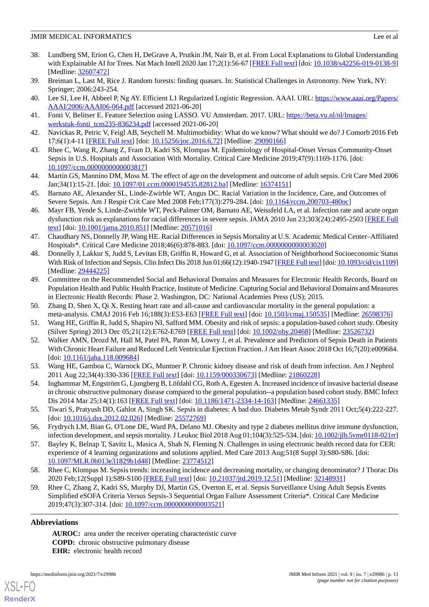- <span id="page-12-0"></span>38. Lundberg SM, Erion G, Chen H, DeGrave A, Prutkin JM, Nair B, et al. From Local Explanations to Global Understanding with Explainable AI for Trees. Nat Mach Intell 2020 Jan 17;2(1):56-67 [\[FREE Full text](http://europepmc.org/abstract/MED/32607472)] [doi: [10.1038/s42256-019-0138-9](http://dx.doi.org/10.1038/s42256-019-0138-9)] [Medline: [32607472](http://www.ncbi.nlm.nih.gov/entrez/query.fcgi?cmd=Retrieve&db=PubMed&list_uids=32607472&dopt=Abstract)]
- <span id="page-12-2"></span><span id="page-12-1"></span>39. Breiman L, Last M, Rice J. Random forests: finding quasars. In: Statistical Challenges in Astronomy. New York, NY: Springer; 2006:243-254.
- <span id="page-12-3"></span>40. Lee SI, Lee H, Abbeel P, Ng AY. Efficient L1 Regularized Logistic Regression. AAAI. URL: [https://www.aaai.org/Papers/](https://www.aaai.org/Papers/AAAI/2006/AAAI06-064.pdf) [AAAI/2006/AAAI06-064.pdf](https://www.aaai.org/Papers/AAAI/2006/AAAI06-064.pdf) [accessed 2021-06-20]
- <span id="page-12-4"></span>41. Fonti V, Belitser E. Feature Selection using LASSO. VU Amsterdam. 2017. URL: [https://beta.vu.nl/nl/Images/](https://beta.vu.nl/nl/Images/werkstuk-fonti_tcm235-836234.pdf) [werkstuk-fonti\\_tcm235-836234.pdf](https://beta.vu.nl/nl/Images/werkstuk-fonti_tcm235-836234.pdf) [accessed 2021-06-20]
- <span id="page-12-5"></span>42. Navickas R, Petric V, Feigl AB, Seychell M. Multimorbidity: What do we know? What should we do? J Comorb 2016 Feb 17;6(1):4-11 [[FREE Full text](https://journals.sagepub.com/doi/10.15256/joc.2016.6.72?url_ver=Z39.88-2003&rfr_id=ori:rid:crossref.org&rfr_dat=cr_pub%3dpubmed)] [doi: [10.15256/joc.2016.6.72\]](http://dx.doi.org/10.15256/joc.2016.6.72) [Medline: [29090166](http://www.ncbi.nlm.nih.gov/entrez/query.fcgi?cmd=Retrieve&db=PubMed&list_uids=29090166&dopt=Abstract)]
- <span id="page-12-6"></span>43. Rhee C, Wang R, Zhang Z, Fram D, Kadri SS, Klompas M. Epidemiology of Hospital-Onset Versus Community-Onset Sepsis in U.S. Hospitals and Association With Mortality. Critical Care Medicine 2019;47(9):1169-1176. [doi: [10.1097/ccm.0000000000003817\]](http://dx.doi.org/10.1097/ccm.0000000000003817)
- <span id="page-12-7"></span>44. Martin GS, Mannino DM, Moss M. The effect of age on the development and outcome of adult sepsis. Crit Care Med 2006 Jan;34(1):15-21. [doi: [10.1097/01.ccm.0000194535.82812.ba](http://dx.doi.org/10.1097/01.ccm.0000194535.82812.ba)] [Medline: [16374151\]](http://www.ncbi.nlm.nih.gov/entrez/query.fcgi?cmd=Retrieve&db=PubMed&list_uids=16374151&dopt=Abstract)
- 45. Barnato AE, Alexander SL, Linde-Zwirble WT, Angus DC. Racial Variation in the Incidence, Care, and Outcomes of Severe Sepsis. Am J Respir Crit Care Med 2008 Feb;177(3):279-284. [doi: [10.1164/rccm.200703-480oc](http://dx.doi.org/10.1164/rccm.200703-480oc)]
- <span id="page-12-8"></span>46. Mayr FB, Yende S, Linde-Zwirble WT, Peck-Palmer OM, Barnato AE, Weissfeld LA, et al. Infection rate and acute organ dysfunction risk as explanations for racial differences in severe sepsis. JAMA 2010 Jun 23;303(24):2495-2503 [[FREE Full](http://europepmc.org/abstract/MED/20571016) [text](http://europepmc.org/abstract/MED/20571016)] [doi: [10.1001/jama.2010.851](http://dx.doi.org/10.1001/jama.2010.851)] [Medline: [20571016](http://www.ncbi.nlm.nih.gov/entrez/query.fcgi?cmd=Retrieve&db=PubMed&list_uids=20571016&dopt=Abstract)]
- <span id="page-12-9"></span>47. Chaudhary NS, Donnelly JP, Wang HE. Racial Differences in Sepsis Mortality at U.S. Academic Medical Center–Affiliated Hospitals\*. Critical Care Medicine 2018;46(6):878-883. [doi: [10.1097/ccm.0000000000003020\]](http://dx.doi.org/10.1097/ccm.0000000000003020)
- <span id="page-12-10"></span>48. Donnelly J, Lakkur S, Judd S, Levitan EB, Griffin R, Howard G, et al. Association of Neighborhood Socioeconomic Status With Risk of Infection and Sepsis. Clin Infect Dis 2018 Jun 01;66(12):1940-1947 [\[FREE Full text](http://europepmc.org/abstract/MED/29444225)] [doi: [10.1093/cid/cix1109](http://dx.doi.org/10.1093/cid/cix1109)] [Medline: [29444225](http://www.ncbi.nlm.nih.gov/entrez/query.fcgi?cmd=Retrieve&db=PubMed&list_uids=29444225&dopt=Abstract)]
- <span id="page-12-12"></span><span id="page-12-11"></span>49. Committee on the Recommended Social and Behavioral Domains and Measures for Electronic Health Records, Board on Population Health and Public Health Practice, Institute of Medicine. Capturing Social and Behavioral Domains and Measures in Electronic Health Records: Phase 2. Washington, DC: National Academies Press (US); 2015.
- <span id="page-12-13"></span>50. Zhang D, Shen X, Qi X. Resting heart rate and all-cause and cardiovascular mortality in the general population: a meta-analysis. CMAJ 2016 Feb 16;188(3):E53-E63 [\[FREE Full text\]](http://www.cmaj.ca/cgi/pmidlookup?view=long&pmid=26598376) [doi: [10.1503/cmaj.150535](http://dx.doi.org/10.1503/cmaj.150535)] [Medline: [26598376\]](http://www.ncbi.nlm.nih.gov/entrez/query.fcgi?cmd=Retrieve&db=PubMed&list_uids=26598376&dopt=Abstract)
- <span id="page-12-14"></span>51. Wang HE, Griffin R, Judd S, Shapiro NI, Safford MM. Obesity and risk of sepsis: a population-based cohort study. Obesity (Silver Spring) 2013 Dec 05;21(12):E762-E769 [\[FREE Full text\]](https://doi.org/10.1002/oby.20468) [doi: [10.1002/oby.20468](http://dx.doi.org/10.1002/oby.20468)] [Medline: [23526732\]](http://www.ncbi.nlm.nih.gov/entrez/query.fcgi?cmd=Retrieve&db=PubMed&list_uids=23526732&dopt=Abstract)
- <span id="page-12-15"></span>52. Walker AMN, Drozd M, Hall M, Patel PA, Paton M, Lowry J, et al. Prevalence and Predictors of Sepsis Death in Patients With Chronic Heart Failure and Reduced Left Ventricular Ejection Fraction. J Am Heart Assoc 2018 Oct 16;7(20):e009684. [doi: [10.1161/jaha.118.009684\]](http://dx.doi.org/10.1161/jaha.118.009684)
- <span id="page-12-16"></span>53. Wang HE, Gamboa C, Warnock DG, Muntner P. Chronic kidney disease and risk of death from infection. Am J Nephrol 2011 Aug 22;34(4):330-336 [\[FREE Full text\]](https://www.karger.com?DOI=10.1159/000330673) [doi: [10.1159/000330673](http://dx.doi.org/10.1159/000330673)] [Medline: [21860228\]](http://www.ncbi.nlm.nih.gov/entrez/query.fcgi?cmd=Retrieve&db=PubMed&list_uids=21860228&dopt=Abstract)
- <span id="page-12-17"></span>54. Inghammar M, Engström G, Ljungberg B, Löfdahl CG, Roth A, Egesten A. Increased incidence of invasive bacterial disease in chronic obstructive pulmonary disease compared to the general population--a population based cohort study. BMC Infect Dis 2014 Mar 25;14(1):163 [[FREE Full text](https://bmcinfectdis.biomedcentral.com/articles/10.1186/1471-2334-14-163)] [doi: [10.1186/1471-2334-14-163](http://dx.doi.org/10.1186/1471-2334-14-163)] [Medline: [24661335](http://www.ncbi.nlm.nih.gov/entrez/query.fcgi?cmd=Retrieve&db=PubMed&list_uids=24661335&dopt=Abstract)]
- <span id="page-12-18"></span>55. Tiwari S, Pratyush DD, Gahlot A, Singh SK. Sepsis in diabetes: A bad duo. Diabetes Metab Syndr 2011 Oct;5(4):222-227. [doi: [10.1016/j.dsx.2012.02.026\]](http://dx.doi.org/10.1016/j.dsx.2012.02.026) [Medline: [25572769\]](http://www.ncbi.nlm.nih.gov/entrez/query.fcgi?cmd=Retrieve&db=PubMed&list_uids=25572769&dopt=Abstract)
- <span id="page-12-19"></span>56. Frydrych LM, Bian G, O'Lone DE, Ward PA, Delano MJ. Obesity and type 2 diabetes mellitus drive immune dysfunction, infection development, and sepsis mortality. J Leukoc Biol 2018 Aug 01;104(3):525-534. [doi: [10.1002/jlb.5vmr0118-021rr\]](http://dx.doi.org/10.1002/jlb.5vmr0118-021rr)
- <span id="page-12-20"></span>57. Bayley K, Belnap T, Savitz L, Masica A, Shah N, Fleming N. Challenges in using electronic health record data for CER: experience of 4 learning organizations and solutions applied. Med Care 2013 Aug;51(8 Suppl 3):S80-S86. [doi: [10.1097/MLR.0b013e31829b1d48](http://dx.doi.org/10.1097/MLR.0b013e31829b1d48)] [Medline: [23774512](http://www.ncbi.nlm.nih.gov/entrez/query.fcgi?cmd=Retrieve&db=PubMed&list_uids=23774512&dopt=Abstract)]
- 58. Rhee C, Klompas M. Sepsis trends: increasing incidence and decreasing mortality, or changing denominator? J Thorac Dis 2020 Feb;12(Suppl 1):S89-S100 [\[FREE Full text\]](https://doi.org/10.21037/jtd.2019.12.51) [doi: [10.21037/jtd.2019.12.51](http://dx.doi.org/10.21037/jtd.2019.12.51)] [Medline: [32148931](http://www.ncbi.nlm.nih.gov/entrez/query.fcgi?cmd=Retrieve&db=PubMed&list_uids=32148931&dopt=Abstract)]
- 59. Rhee C, Zhang Z, Kadri SS, Murphy DJ, Martin GS, Overton E, et al. Sepsis Surveillance Using Adult Sepsis Events Simplified eSOFA Criteria Versus Sepsis-3 Sequential Organ Failure Assessment Criteria\*. Critical Care Medicine 2019;47(3):307-314. [doi: [10.1097/ccm.0000000000003521\]](http://dx.doi.org/10.1097/ccm.0000000000003521)

## **Abbreviations**

[XSL](http://www.w3.org/Style/XSL)•FO **[RenderX](http://www.renderx.com/)**

**AUROC:** area under the receiver operating characteristic curve **COPD:** chronic obstructive pulmonary disease **EHR:** electronic health record